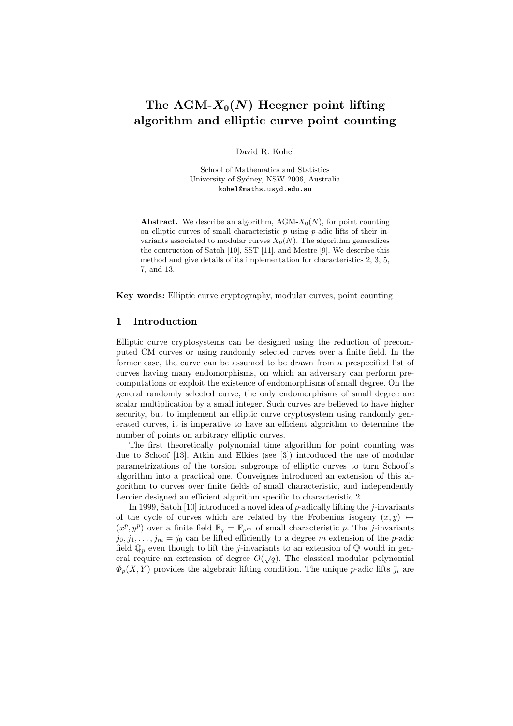# The AGM- $X_0(N)$  Heegner point lifting algorithm and elliptic curve point counting

David R. Kohel

School of Mathematics and Statistics University of Sydney, NSW 2006, Australia kohel@maths.usyd.edu.au

Abstract. We describe an algorithm, AGM- $X_0(N)$ , for point counting on elliptic curves of small characteristic  $p$  using  $p$ -adic lifts of their invariants associated to modular curves  $X_0(N)$ . The algorithm generalizes the contruction of Satoh [10], SST [11], and Mestre [9]. We describe this method and give details of its implementation for characteristics 2, 3, 5, 7, and 13.

Key words: Elliptic curve cryptography, modular curves, point counting

### 1 Introduction

Elliptic curve cryptosystems can be designed using the reduction of precomputed CM curves or using randomly selected curves over a finite field. In the former case, the curve can be assumed to be drawn from a prespecified list of curves having many endomorphisms, on which an adversary can perform precomputations or exploit the existence of endomorphisms of small degree. On the general randomly selected curve, the only endomorphisms of small degree are scalar multiplication by a small integer. Such curves are believed to have higher security, but to implement an elliptic curve cryptosystem using randomly generated curves, it is imperative to have an efficient algorithm to determine the number of points on arbitrary elliptic curves.

The first theoretically polynomial time algorithm for point counting was due to Schoof [13]. Atkin and Elkies (see [3]) introduced the use of modular parametrizations of the torsion subgroups of elliptic curves to turn Schoof's algorithm into a practical one. Couveignes introduced an extension of this algorithm to curves over finite fields of small characteristic, and independently Lercier designed an efficient algorithm specific to characteristic 2.

In 1999, Satoh [10] introduced a novel idea of  $p$ -adically lifting the j-invariants of the cycle of curves which are related by the Frobenius isogeny  $(x, y) \mapsto$  $(x^p, y^p)$  over a finite field  $\mathbb{F}_q = \mathbb{F}_{p^m}$  of small characteristic p. The j-invariants  $j_0, j_1, \ldots, j_m = j_0$  can be lifted efficiently to a degree m extension of the p-adic field  $\mathbb{Q}_p$  even though to lift the *j*-invariants to an extension of  $\mathbb{Q}$  would in general require an extension of degree  $O(\sqrt{q})$ . The classical modular polynomial  $\Phi_p(X, Y)$  provides the algebraic lifting condition. The unique p-adic lifts  $\tilde{\jmath}_i$  are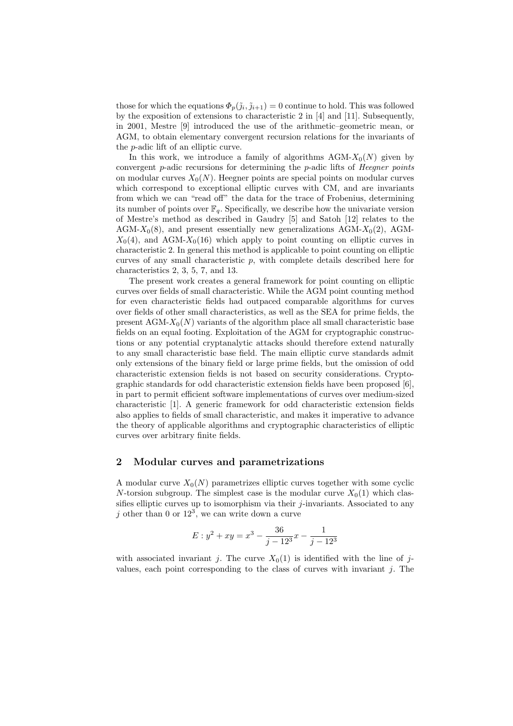those for which the equations  $\Phi_p(\tilde{j}_i, \tilde{j}_{i+1}) = 0$  continue to hold. This was followed by the exposition of extensions to characteristic 2 in [4] and [11]. Subsequently, in 2001, Mestre [9] introduced the use of the arithmetic–geometric mean, or AGM, to obtain elementary convergent recursion relations for the invariants of the p-adic lift of an elliptic curve.

In this work, we introduce a family of algorithms  $AGM-X_0(N)$  given by convergent p-adic recursions for determining the p-adic lifts of Heegner points on modular curves  $X_0(N)$ . Heegner points are special points on modular curves which correspond to exceptional elliptic curves with CM, and are invariants from which we can "read off" the data for the trace of Frobenius, determining its number of points over  $\mathbb{F}_q$ . Specifically, we describe how the univariate version of Mestre's method as described in Gaudry [5] and Satoh [12] relates to the AGM- $X_0(8)$ , and present essentially new generalizations AGM- $X_0(2)$ , AGM- $X_0(4)$ , and AGM- $X_0(16)$  which apply to point counting on elliptic curves in characteristic 2. In general this method is applicable to point counting on elliptic curves of any small characteristic  $p$ , with complete details described here for characteristics 2, 3, 5, 7, and 13.

The present work creates a general framework for point counting on elliptic curves over fields of small characteristic. While the AGM point counting method for even characteristic fields had outpaced comparable algorithms for curves over fields of other small characteristics, as well as the SEA for prime fields, the present  $AGM-X_0(N)$  variants of the algorithm place all small characteristic base fields on an equal footing. Exploitation of the AGM for cryptographic constructions or any potential cryptanalytic attacks should therefore extend naturally to any small characteristic base field. The main elliptic curve standards admit only extensions of the binary field or large prime fields, but the omission of odd characteristic extension fields is not based on security considerations. Cryptographic standards for odd characteristic extension fields have been proposed [6], in part to permit efficient software implementations of curves over medium-sized characteristic [1]. A generic framework for odd characteristic extension fields also applies to fields of small characteristic, and makes it imperative to advance the theory of applicable algorithms and cryptographic characteristics of elliptic curves over arbitrary finite fields.

### 2 Modular curves and parametrizations

A modular curve  $X_0(N)$  parametrizes elliptic curves together with some cyclic N-torsion subgroup. The simplest case is the modular curve  $X_0(1)$  which classifies elliptic curves up to isomorphism via their  $j$ -invariants. Associated to any j other than 0 or  $12^3$ , we can write down a curve

$$
E: y^2 + xy = x^3 - \frac{36}{j - 12^3}x - \frac{1}{j - 12^3}
$$

with associated invariant j. The curve  $X_0(1)$  is identified with the line of jvalues, each point corresponding to the class of curves with invariant  $j$ . The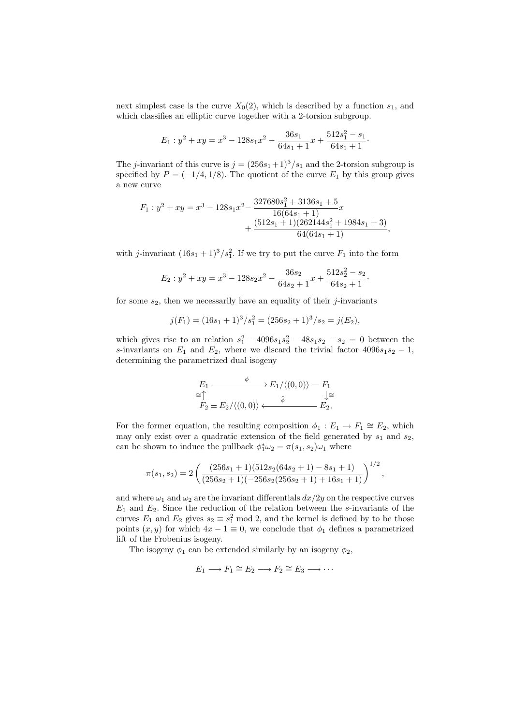next simplest case is the curve  $X_0(2)$ , which is described by a function  $s_1$ , and which classifies an elliptic curve together with a 2-torsion subgroup.

$$
E_1: y^2 + xy = x^3 - 128s_1x^2 - \frac{36s_1}{64s_1 + 1}x + \frac{512s_1^2 - s_1}{64s_1 + 1}.
$$

The j-invariant of this curve is  $j = (256s_1 + 1)^3/s_1$  and the 2-torsion subgroup is specified by  $P = (-1/4, 1/8)$ . The quotient of the curve  $E_1$  by this group gives a new curve

$$
F_1: y^2 + xy = x^3 - 128s_1x^2 - \frac{327680s_1^2 + 3136s_1 + 5}{16(64s_1 + 1)}x + \frac{(512s_1 + 1)(262144s_1^2 + 1984s_1 + 3)}{64(64s_1 + 1)},
$$

with *j*-invariant  $(16s_1 + 1)^3 / s_1^2$ . If we try to put the curve  $F_1$  into the form

$$
E_2: y^2 + xy = x^3 - 128s_2x^2 - \frac{36s_2}{64s_2 + 1}x + \frac{512s_2^2 - s_2}{64s_2 + 1}.
$$

for some  $s_2$ , then we necessarily have an equality of their j-invariants

$$
j(F_1) = (16s_1 + 1)^3 / s_1^2 = (256s_2 + 1)^3 / s_2 = j(E_2),
$$

which gives rise to an relation  $s_1^2 - 4096s_1s_2^2 - 48s_1s_2 - s_2 = 0$  between the s-invariants on  $E_1$  and  $E_2$ , where we discard the trivial factor 4096s<sub>1</sub>s<sub>2</sub> − 1, determining the parametrized dual isogeny

$$
E_1 \xrightarrow{\phi} E_1/\langle (0,0) \rangle = F_1
$$
  
\n
$$
\cong \uparrow
$$
  
\n
$$
F_2 = E_2/\langle (0,0) \rangle \xleftarrow{\hat{\phi}} E_2.
$$

For the former equation, the resulting composition  $\phi_1 : E_1 \to F_1 \cong E_2$ , which may only exist over a quadratic extension of the field generated by  $s_1$  and  $s_2$ , can be shown to induce the pullback  $\phi_1^* \omega_2 = \pi(s_1, s_2) \omega_1$  where

$$
\pi(s_1,s_2)=2\left(\frac{(256s_1+1)(512s_2(64s_2+1)-8s_1+1)}{(256s_2+1)(-256s_2(256s_2+1)+16s_1+1)}\right)^{1/2},
$$

and where  $\omega_1$  and  $\omega_2$  are the invariant differentials  $dx/2y$  on the respective curves  $E_1$  and  $E_2$ . Since the reduction of the relation between the s-invariants of the curves  $E_1$  and  $E_2$  gives  $s_2 \equiv s_1^2 \mod 2$ , and the kernel is defined by to be those points  $(x, y)$  for which  $4x - 1 \equiv 0$ , we conclude that  $\phi_1$  defines a parametrized lift of the Frobenius isogeny.

The isogeny  $\phi_1$  can be extended similarly by an isogeny  $\phi_2$ ,

$$
E_1 \longrightarrow F_1 \cong E_2 \longrightarrow F_2 \cong E_3 \longrightarrow \cdots
$$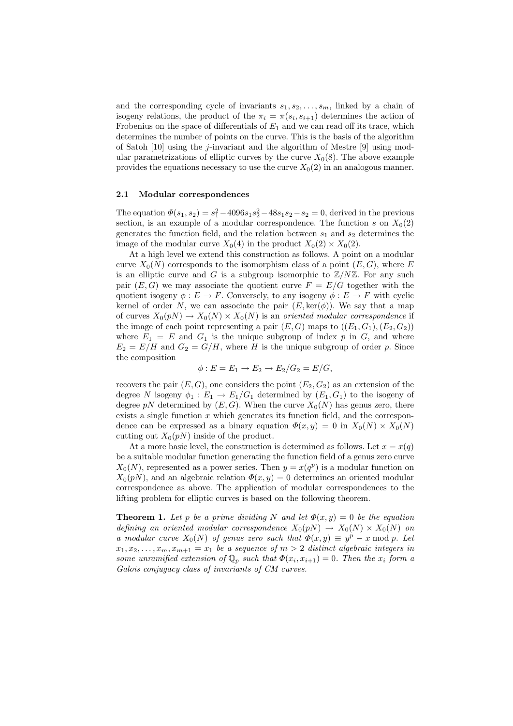and the corresponding cycle of invariants  $s_1, s_2, \ldots, s_m$ , linked by a chain of isogeny relations, the product of the  $\pi_i = \pi(s_i, s_{i+1})$  determines the action of Frobenius on the space of differentials of  $E_1$  and we can read off its trace, which determines the number of points on the curve. This is the basis of the algorithm of Satoh [10] using the *j*-invariant and the algorithm of Mestre  $[9]$  using modular parametrizations of elliptic curves by the curve  $X_0(8)$ . The above example provides the equations necessary to use the curve  $X_0(2)$  in an analogous manner.

### 2.1 Modular correspondences

The equation  $\Phi(s_1, s_2) = s_1^2 - 4096s_1s_2^2 - 48s_1s_2 - s_2 = 0$ , derived in the previous section, is an example of a modular correspondence. The function s on  $X_0(2)$ generates the function field, and the relation between  $s_1$  and  $s_2$  determines the image of the modular curve  $X_0(4)$  in the product  $X_0(2) \times X_0(2)$ .

At a high level we extend this construction as follows. A point on a modular curve  $X_0(N)$  corresponds to the isomorphism class of a point  $(E, G)$ , where E is an elliptic curve and G is a subgroup isomorphic to  $\mathbb{Z}/N\mathbb{Z}$ . For any such pair  $(E, G)$  we may associate the quotient curve  $F = E/G$  together with the quotient isogeny  $\phi : E \to F$ . Conversely, to any isogeny  $\phi : E \to F$  with cyclic kernel of order N, we can associate the pair  $(E, \text{ker}(\phi))$ . We say that a map of curves  $X_0(pN) \to X_0(N) \times X_0(N)$  is an oriented modular correspondence if the image of each point representing a pair  $(E, G)$  maps to  $((E_1, G_1), (E_2, G_2))$ where  $E_1 = E$  and  $G_1$  is the unique subgroup of index p in G, and where  $E_2 = E/H$  and  $G_2 = G/H$ , where H is the unique subgroup of order p. Since the composition

$$
\phi: E = E_1 \rightarrow E_2 \rightarrow E_2/G_2 = E/G,
$$

recovers the pair  $(E, G)$ , one considers the point  $(E_2, G_2)$  as an extension of the degree N isogeny  $\phi_1 : E_1 \to E_1/G_1$  determined by  $(E_1, G_1)$  to the isogeny of degree pN determined by  $(E, G)$ . When the curve  $X_0(N)$  has genus zero, there exists a single function  $x$  which generates its function field, and the correspondence can be expressed as a binary equation  $\Phi(x, y) = 0$  in  $X_0(N) \times X_0(N)$ cutting out  $X_0(pN)$  inside of the product.

At a more basic level, the construction is determined as follows. Let  $x = x(q)$ be a suitable modular function generating the function field of a genus zero curve  $X_0(N)$ , represented as a power series. Then  $y = x(q^p)$  is a modular function on  $X_0(pN)$ , and an algebraic relation  $\Phi(x, y) = 0$  determines an oriented modular correspondence as above. The application of modular correspondences to the lifting problem for elliptic curves is based on the following theorem.

**Theorem 1.** Let p be a prime dividing N and let  $\Phi(x, y) = 0$  be the equation defining an oriented modular correspondence  $X_0(pN) \to X_0(N) \times X_0(N)$  on a modular curve  $X_0(N)$  of genus zero such that  $\Phi(x,y) \equiv y^p - x \mod p$ . Let  $x_1, x_2, \ldots, x_m, x_{m+1} = x_1$  be a sequence of  $m > 2$  distinct algebraic integers in some unramified extension of  $\mathbb{Q}_p$  such that  $\Phi(x_i, x_{i+1}) = 0$ . Then the  $x_i$  form a Galois conjugacy class of invariants of CM curves.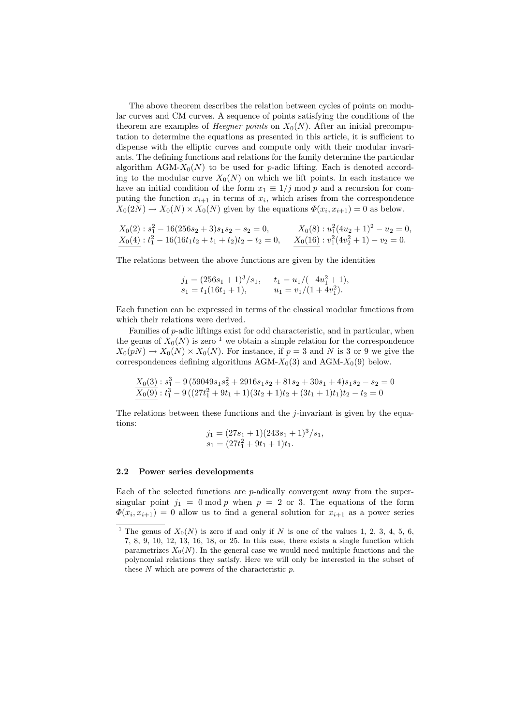The above theorem describes the relation between cycles of points on modular curves and CM curves. A sequence of points satisfying the conditions of the theorem are examples of *Heegner points* on  $X_0(N)$ . After an initial precomputation to determine the equations as presented in this article, it is sufficient to dispense with the elliptic curves and compute only with their modular invariants. The defining functions and relations for the family determine the particular algorithm AGM- $X_0(N)$  to be used for p-adic lifting. Each is denoted according to the modular curve  $X_0(N)$  on which we lift points. In each instance we have an initial condition of the form  $x_1 \equiv 1/j \mod p$  and a recursion for computing the function  $x_{i+1}$  in terms of  $x_i$ , which arises from the correspondence  $X_0(2N) \to X_0(N) \times X_0(N)$  given by the equations  $\Phi(x_i, x_{i+1}) = 0$  as below.

$$
\frac{X_0(2) : s_1^2 - 16(256s_2 + 3)s_1s_2 - s_2 = 0}{X_0(4) : t_1^2 - 16(16t_1t_2 + t_1 + t_2)t_2 - t_2 = 0}, \qquad \frac{X_0(8) : u_1^2(4u_2 + 1)^2 - u_2 = 0}{X_0(16) : v_1^2(4v_2^2 + 1) - v_2 = 0}.
$$

The relations between the above functions are given by the identities

$$
j_1 = (256s_1 + 1)^3/s_1,
$$
  $t_1 = u_1/(-4u_1^2 + 1),$   
\n $s_1 = t_1(16t_1 + 1),$   $u_1 = v_1/(1 + 4v_1^2).$ 

Each function can be expressed in terms of the classical modular functions from which their relations were derived.

Families of p-adic liftings exist for odd characteristic, and in particular, when the genus of  $X_0(N)$  is zero <sup>1</sup> we obtain a simple relation for the correspondence  $X_0(pN) \to X_0(N) \times X_0(N)$ . For instance, if  $p=3$  and N is 3 or 9 we give the correspondences defining algorithms AGM- $X_0(3)$  and AGM- $X_0(9)$  below.

$$
\frac{X_0(3): s_1^3 - 9(59049s_1s_2^2 + 2916s_1s_2 + 81s_2 + 30s_1 + 4)s_1s_2 - s_2 = 0}{X_0(9): t_1^3 - 9((27t_1^2 + 9t_1 + 1)(3t_2 + 1)t_2 + (3t_1 + 1)t_1)t_2 - t_2 = 0}
$$

The relations between these functions and the *j*-invariant is given by the equations:

$$
j_1 = (27s_1 + 1)(243s_1 + 1)^3/s_1,
$$
  

$$
s_1 = (27t_1^2 + 9t_1 + 1)t_1.
$$

### 2.2 Power series developments

Each of the selected functions are p-adically convergent away from the supersingular point  $j_1 = 0 \mod p$  when  $p = 2$  or 3. The equations of the form  $\Phi(x_i, x_{i+1}) = 0$  allow us to find a general solution for  $x_{i+1}$  as a power series

<sup>&</sup>lt;sup>1</sup> The genus of  $X_0(N)$  is zero if and only if N is one of the values 1, 2, 3, 4, 5, 6, 7, 8, 9, 10, 12, 13, 16, 18, or 25. In this case, there exists a single function which parametrizes  $X_0(N)$ . In the general case we would need multiple functions and the polynomial relations they satisfy. Here we will only be interested in the subset of these  $N$  which are powers of the characteristic  $p$ .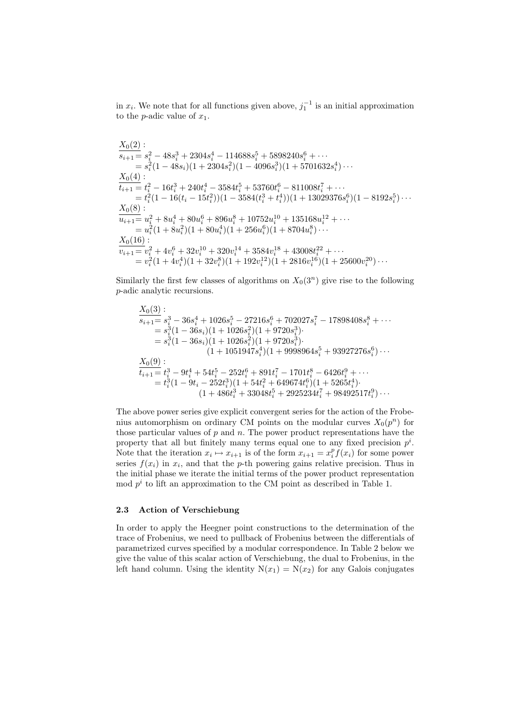in  $x_i$ . We note that for all functions given above,  $j_1^{-1}$  is an initial approximation to the *p*-adic value of  $x_1$ .

$$
\begin{aligned} &\frac{X_0(2)}{s_{i+1}} = \frac{2}{s_i^2} - 48s_i^3 + 2304s_i^4 - 114688s_i^5 + 5898240s_i^6 + \cdots \\ & = s_i^2(1 - 48s_i)(1 + 2304s_i^2)(1 - 4096s_i^3)(1 + 5701632s_i^4) \cdots \\ &\frac{X_0(4)}{t_{i+1}} = t_i^2 - 16t_i^3 + 240t_i^4 - 3584t_i^5 + 53760t_i^6 - 811008t_i^7 + \cdots \\ & = t_i^2(1 - 16(t_i - 15t_i^2))(1 - 3584(t_i^3 + t_i^4))(1 + 13029376s_i^6)(1 - 8192s_i^5) \cdots \\ &\frac{X_0(8)}{u_{i+1}} = u_i^2 + 8u_i^4 + 80u_i^6 + 896u_i^8 + 10752u_i^{10} + 135168u_i^{12} + \cdots \\ & = u_i^2(1 + 8u_i^2)(1 + 80u_i^4)(1 + 256u_i^6)(1 + 8704u_i^8) \cdots \\ &\frac{X_0(16)}{v_{i+1}} = v_i^2 + 4v_i^6 + 32v_i^{10} + 320v_i^{14} + 3584v_i^{18} + 43008t_i^{22} + \cdots \\ & = v_i^2(1 + 4v_i^4)(1 + 32v_i^8)(1 + 192v_i^{12})(1 + 2816v_i^{16})(1 + 25600v_i^{20}) \cdots \end{aligned}
$$

Similarly the first few classes of algorithms on  $X_0(3^n)$  give rise to the following p-adic analytic recursions.

$$
\begin{aligned} &\frac{X_0(3)}{s_{i+1}} = s_i^3 - 36s_i^4 + 1026s_i^5 - 27216s_i^6 + 702027s_i^7 - 17898408s_i^8 + \cdots \\ &= s_i^3(1 - 36s_i)(1 + 1026s_i^2)(1 + 9720s_i^3) \\ &= s_i^3(1 - 36s_i)(1 + 1026s_i^2)(1 + 9720s_i^3) \\ &\qquad \qquad (1 + 1051947s_i^4)(1 + 9998964s_i^5 + 93927276s_i^6) \cdots \\ &\frac{X_0(9)}{t_{i+1}} = t_i^3 - 9t_i^4 + 54t_i^5 - 252t_i^6 + 891t_i^7 - 1701t_i^8 - 6426t_i^9 + \cdots \\ &= t_i^3(1 - 9t_i - 252t_i^3)(1 + 54t_i^2 + 649674t_i^6)(1 + 5265t_i^4) \\ &\qquad \qquad (1 + 486t_i^3 + 33048t_i^5 + 2925234t_i^7 + 98492517t_i^9) \cdots \end{aligned}
$$

The above power series give explicit convergent series for the action of the Frobenius automorphism on ordinary CM points on the modular curves  $X_0(p^n)$  for those particular values of  $p$  and  $n$ . The power product representations have the property that all but finitely many terms equal one to any fixed precision  $p^i$ . Note that the iteration  $x_i \mapsto x_{i+1}$  is of the form  $x_{i+1} = x_i^p f(x_i)$  for some power series  $f(x_i)$  in  $x_i$ , and that the p-th powering gains relative precision. Thus in the initial phase we iterate the initial terms of the power product representation mod  $p^i$  to lift an approximation to the CM point as described in Table 1.

#### 2.3 Action of Verschiebung

In order to apply the Heegner point constructions to the determination of the trace of Frobenius, we need to pullback of Frobenius between the differentials of parametrized curves specified by a modular correspondence. In Table 2 below we give the value of this scalar action of Verschiebung, the dual to Frobenius, in the left hand column. Using the identity  $N(x_1) = N(x_2)$  for any Galois conjugates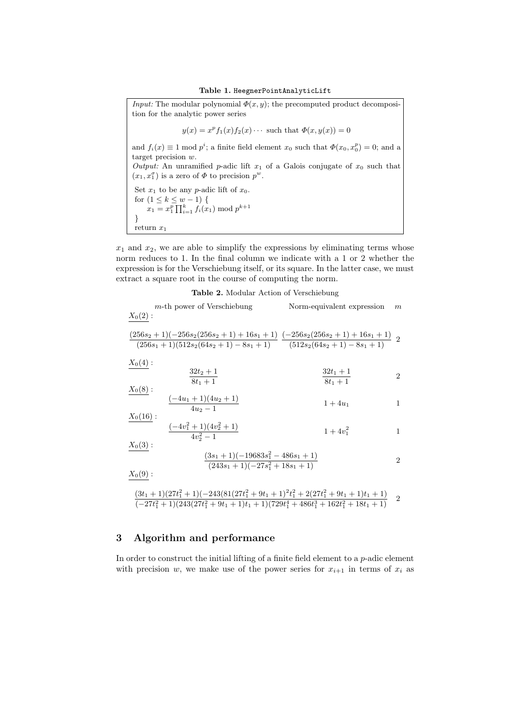*Input:* The modular polynomial  $\Phi(x, y)$ ; the precomputed product decomposition for the analytic power series  $y(x) = x^{p} f_1(x) f_2(x) \cdots$  such that  $\Phi(x, y(x)) = 0$ and  $f_i(x) \equiv 1 \mod p^i$ ; a finite field element  $x_0$  such that  $\Phi(x_0, x_0^p) = 0$ ; and a target precision w.

Output: An unramified p-adic lift  $x_1$  of a Galois conjugate of  $x_0$  such that  $(x_1, x_1^{\sigma})$  is a zero of  $\Phi$  to precision  $p^w$ .

Set  $x_1$  to be any *p*-adic lift of  $x_0$ . for  $(1 \leq k \leq w-1)$  {  $(x \leq k \leq w-1)$  {<br>  $x_1 = x_1^p \prod_{i=1}^k f_i(x_1) \text{ mod } p^{k+1}$ } return  $x_1$ 

 $x_1$  and  $x_2$ , we are able to simplify the expressions by eliminating terms whose norm reduces to 1. In the final column we indicate with a 1 or 2 whether the expression is for the Verschiebung itself, or its square. In the latter case, we must extract a square root in the course of computing the norm.

| Table 2. Modular Action of Verschiebung |
|-----------------------------------------|
|-----------------------------------------|

| $X_0(2):$                 | $m$ -th power of Verschiebung                                                                                                                          | Norm-equivalent expression | $\boldsymbol{m}$ |
|---------------------------|--------------------------------------------------------------------------------------------------------------------------------------------------------|----------------------------|------------------|
|                           | $\frac{(256s_2+1)(-256s_2(256s_2+1)+16s_1+1)}{(-256s_2(256s_2+1)+16s_1+1)}$ 2<br>$\frac{(256s_1+1)(512s_2(64s_2+1)-8s_1+1)}{(512s_2(64s_2+1)-8s_1+1)}$ |                            |                  |
| $X_0(4):$                 | $32t_2+1$                                                                                                                                              | $\frac{32t_1+1}{8t_1+1}$   | 2                |
| $\frac{X_0(8)}{X_0(8)}$ : | $8t_1 + 1$                                                                                                                                             |                            |                  |
|                           | $(-4u_1+1)(4u_2+1)$<br>$\overline{4u_2-1}$                                                                                                             | $1 + 4u_1$                 | 1                |
| $X_0(16):$                | $\frac{(-4v_1^2+1)(4v_2^2+1)}{4v_2^2-1}$                                                                                                               | $1+4v_1^2$                 | 1                |
| $X_0(3):$                 | $\frac{(3s_1+1)(-19683s_1^2-486s_1+1)}{(243s_1+1)(-27s_1^2+18s_1+1)}$                                                                                  |                            | $\mathfrak{D}$   |
| $X_0(9):$                 |                                                                                                                                                        |                            |                  |
|                           | $(34. + 1)(27t^2 + 1)$ $(242(81(27t^2 + 0t - 1)^2t^2 + 2(27t^2 + 0t - 1)t - 1)$                                                                        |                            |                  |

$$
\frac{(3t_1+1)(27t_1^2+1)(-243(81(27t_1^2+9t_1+1)^2t_1^2+2(27t_1^2+9t_1+1)t_1+1)}{(-27t_1^2+1)(243(27t_1^2+9t_1+1)t_1+1)(729t_1^4+486t_1^3+162t_1^2+18t_1+1)}
$$
 2

# 3 Algorithm and performance

In order to construct the initial lifting of a finite field element to a  $p$ -adic element with precision w, we make use of the power series for  $x_{i+1}$  in terms of  $x_i$  as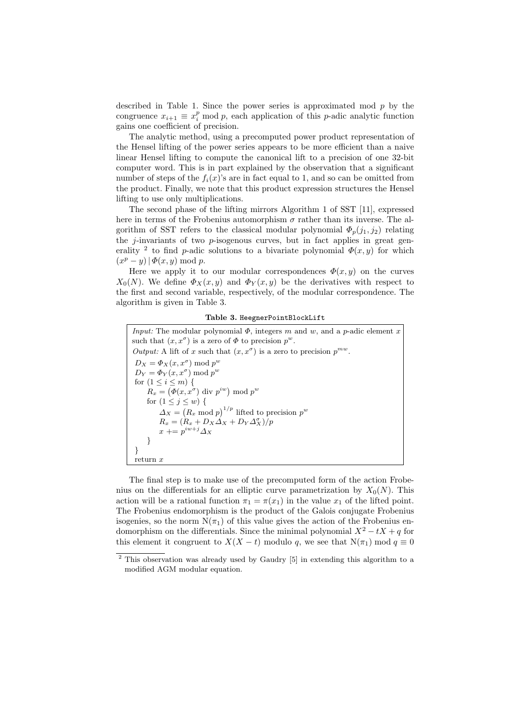described in Table 1. Since the power series is approximated mod  $p$  by the congruence  $x_{i+1} \equiv x_i^p \mod p$ , each application of this *p*-adic analytic function gains one coefficient of precision.

The analytic method, using a precomputed power product representation of the Hensel lifting of the power series appears to be more efficient than a naive linear Hensel lifting to compute the canonical lift to a precision of one 32-bit computer word. This is in part explained by the observation that a significant number of steps of the  $f_i(x)$ 's are in fact equal to 1, and so can be omitted from the product. Finally, we note that this product expression structures the Hensel lifting to use only multiplications.

The second phase of the lifting mirrors Algorithm 1 of SST [11], expressed here in terms of the Frobenius automorphism  $\sigma$  rather than its inverse. The algorithm of SST refers to the classical modular polynomial  $\Phi_p(j_1, j_2)$  relating the  $j$ -invariants of two  $p$ -isogenous curves, but in fact applies in great generality <sup>2</sup> to find p-adic solutions to a bivariate polynomial  $\Phi(x, y)$  for which  $(x^p - y) | \Phi(x, y) \bmod p.$ 

Here we apply it to our modular correspondences  $\Phi(x, y)$  on the curves  $X_0(N)$ . We define  $\Phi_X(x, y)$  and  $\Phi_Y(x, y)$  be the derivatives with respect to the first and second variable, respectively, of the modular correspondence. The algorithm is given in Table 3.

Table 3. HeegnerPointBlockLift

*Input:* The modular polynomial  $\Phi$ , integers m and w, and a p-adic element x such that  $(x, x^{\sigma})$  is a zero of  $\Phi$  to precision  $p^{w}$ . Output: A lift of x such that  $(x, x^{\sigma})$  is a zero to precision  $p^{mw}$ .  $D_X = \Phi_X(x, x^{\sigma}) \bmod p^w$  $D_Y = \Phi_Y(x, x^{\sigma}) \bmod p^w$ for  $(1 \leq i \leq m)$  {  $R_x = (\Phi(x, x^{\sigma}) \text{ div } p^{iw}) \text{ mod } p^w$ for  $(1 \leq j \leq w)$  {  $\Delta_X = (R_x \mod p)^{1/p}$  lifted to precision  $p^w$  $R_x = (R_x + D_X \Delta_X + D_Y \Delta_X^{\sigma})/p$  $x \mathrel{+}= p^{iw+j} \Delta_X$ } } return  $x$ 

The final step is to make use of the precomputed form of the action Frobenius on the differentials for an elliptic curve parametrization by  $X_0(N)$ . This action will be a rational function  $\pi_1 = \pi(x_1)$  in the value  $x_1$  of the lifted point. The Frobenius endomorphism is the product of the Galois conjugate Frobenius isogenies, so the norm  $N(\pi_1)$  of this value gives the action of the Frobenius endomorphism on the differentials. Since the minimal polynomial  $X^2 - tX + q$  for this element it congruent to  $X(X - t)$  modulo q, we see that  $N(\pi_1)$  mod  $q \equiv 0$ 

<sup>2</sup> This observation was already used by Gaudry [5] in extending this algorithm to a modified AGM modular equation.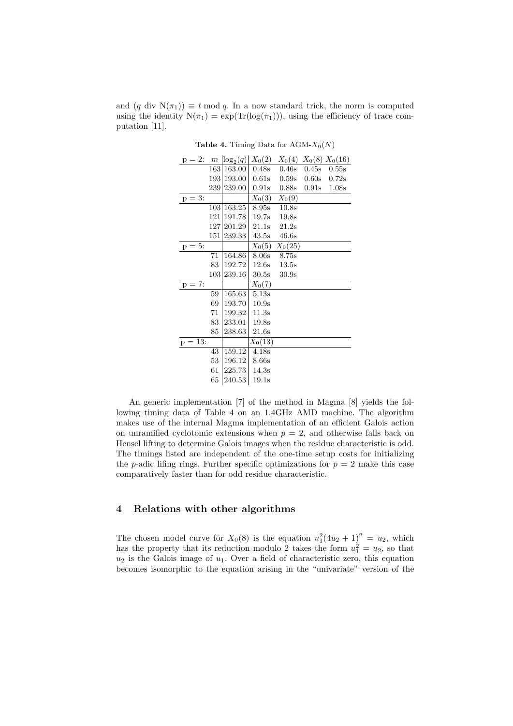and  $(q \text{ div } N(\pi_1)) \equiv t \mod q$ . In a now standard trick, the norm is computed using the identity  $N(\pi_1) = \exp(\text{Tr}(\log(\pi_1)))$ , using the efficiency of trace computation [11].

| $p = 2$ :  | $\,m$ | $\log_2(q)$ | $X_0(2)$            | $X_0(4)$ $X_0(8)$ $X_0(16)$ |                  |       |
|------------|-------|-------------|---------------------|-----------------------------|------------------|-------|
|            | 163   | 163.00      | $0.48\mathrm{s}$    | $0.46\mathrm{s}$            | 0.45s            | 0.55s |
|            |       | 193 193.00  | 0.61s               | 0.59s                       | 0.60s            | 0.72s |
|            |       | 239 239.00  | $0.91\mathrm{s}$    | $0.88\mathrm{s}$            | $0.91\mathrm{s}$ | 1.08s |
| $p = 3$ :  |       |             | $X_0(3)$            | $X_0(9)$                    |                  |       |
|            | 103   | 163.25      | $8.95\mathrm{s}$    | 10.8s                       |                  |       |
|            | 121   | 191.78      | 19.7s               | 19.8s                       |                  |       |
|            |       | 127 201.29  | 21.1s               | 21.2s                       |                  |       |
|            |       | 151 239.33  | 43.5s               | 46.6s                       |                  |       |
| $p = 5$ :  |       |             | $X_0(5)$            | $X_0(25)$                   |                  |       |
|            | 71    | 164.86      | 8.06s               | 8.75s                       |                  |       |
|            | 83    | 192.72      | 12.6s               | 13.5s                       |                  |       |
|            | 103   | 239.16      | 30.5s               | 30.9s                       |                  |       |
| $p = 7$ :  |       |             | $\overline{X_0}(7)$ |                             |                  |       |
|            | 59    | 165.63      | 5.13s               |                             |                  |       |
|            | 69    | 193.70      | 10.9s               |                             |                  |       |
|            | 71    | 199.32      | 11.3s               |                             |                  |       |
|            | 83    | 233.01      | 19.8s               |                             |                  |       |
|            | 85    | 238.63      | 21.6s               |                             |                  |       |
| $p = 13$ : |       |             | $X_0(13)$           |                             |                  |       |
|            | 43    | 159.12      | 4.18s               |                             |                  |       |
|            | 53    | 196.12      | 8.66s               |                             |                  |       |
|            | 61    | 225.73      | 14.3s               |                             |                  |       |
|            | 65    | 240.53      | 19.1s               |                             |                  |       |

**Table 4.** Timing Data for AGM- $X_0(N)$ 

An generic implementation [7] of the method in Magma [8] yields the following timing data of Table 4 on an 1.4GHz AMD machine. The algorithm makes use of the internal Magma implementation of an efficient Galois action on unramified cyclotomic extensions when  $p = 2$ , and otherwise falls back on Hensel lifting to determine Galois images when the residue characteristic is odd. The timings listed are independent of the one-time setup costs for initializing the *p*-adic lifing rings. Further specific optimizations for  $p = 2$  make this case comparatively faster than for odd residue characteristic.

# 4 Relations with other algorithms

The chosen model curve for  $X_0(8)$  is the equation  $u_1^2(4u_2 + 1)^2 = u_2$ , which has the property that its reduction modulo 2 takes the form  $u_1^2 = u_2$ , so that  $u_2$  is the Galois image of  $u_1$ . Over a field of characteristic zero, this equation becomes isomorphic to the equation arising in the "univariate" version of the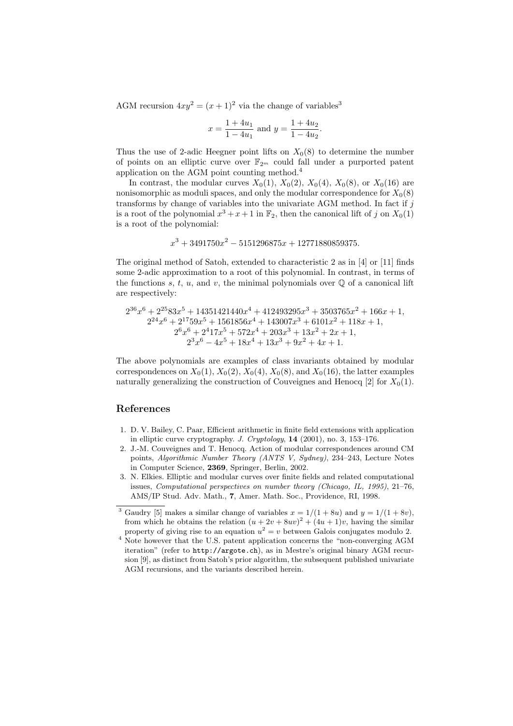AGM recursion  $4xy^2 = (x+1)^2$  via the change of variables<sup>3</sup>

$$
x = \frac{1 + 4u_1}{1 - 4u_1}
$$
 and  $y = \frac{1 + 4u_2}{1 - 4u_2}$ .

Thus the use of 2-adic Heegner point lifts on  $X_0(8)$  to determine the number of points on an elliptic curve over  $\mathbb{F}_{2^m}$  could fall under a purported patent application on the AGM point counting method.<sup>4</sup>

In contrast, the modular curves  $X_0(1)$ ,  $X_0(2)$ ,  $X_0(4)$ ,  $X_0(8)$ , or  $X_0(16)$  are nonisomorphic as moduli spaces, and only the modular correspondence for  $X_0(8)$ transforms by change of variables into the univariate AGM method. In fact if  $j$ is a root of the polynomial  $x^3 + x + 1$  in  $\mathbb{F}_2$ , then the canonical lift of j on  $X_0(1)$ is a root of the polynomial:

 $x^3 + 3491750x^2 - 5151296875x + 12771880859375.$ 

The original method of Satoh, extended to characteristic 2 as in [4] or [11] finds some 2-adic approximation to a root of this polynomial. In contrast, in terms of the functions s, t, u, and v, the minimal polynomials over  $\mathbb Q$  of a canonical lift are respectively:

$$
\begin{aligned} 2^{36}x^6 + 2^{25}83x^5 + 14351421440x^4 + 412493295x^3 + 3503765x^2 + 166x + 1, \\ 2^{24}x^6 + 2^{17}59x^5 + 1561856x^4 + 143007x^3 + 6101x^2 + 118x + 1, \\ 2^6x^6 + 2^417x^5 + 572x^4 + 203x^3 + 13x^2 + 2x + 1, \\ 2^3x^6 - 4x^5 + 18x^4 + 13x^3 + 9x^2 + 4x + 1. \end{aligned}
$$

The above polynomials are examples of class invariants obtained by modular correspondences on  $X_0(1)$ ,  $X_0(2)$ ,  $X_0(4)$ ,  $X_0(8)$ , and  $X_0(16)$ , the latter examples naturally generalizing the construction of Couveignes and Henocq [2] for  $X_0(1)$ .

## References

- 1. D. V. Bailey, C. Paar, Efficient arithmetic in finite field extensions with application in elliptic curve cryptography. J. Cryptology, 14 (2001), no. 3, 153–176.
- 2. J.-M. Couveignes and T. Henocq. Action of modular correspondences around CM points, Algorithmic Number Theory (ANTS V, Sydney), 234–243, Lecture Notes in Computer Science, 2369, Springer, Berlin, 2002.
- 3. N. Elkies. Elliptic and modular curves over finite fields and related computational issues, Computational perspectives on number theory (Chicago, IL, 1995), 21–76, AMS/IP Stud. Adv. Math., 7, Amer. Math. Soc., Providence, RI, 1998.

<sup>&</sup>lt;sup>3</sup> Gaudry [5] makes a similar change of variables  $x = 1/(1 + 8u)$  and  $y = 1/(1 + 8v)$ , from which he obtains the relation  $(u + 2v + 8uv)^2 + (4u + 1)v$ , having the similar property of giving rise to an equation  $u^2 = v$  between Galois conjugates modulo 2.

<sup>&</sup>lt;sup>4</sup> Note however that the U.S. patent application concerns the "non-converging AGM iteration" (refer to http://argote.ch), as in Mestre's original binary AGM recursion [9], as distinct from Satoh's prior algorithm, the subsequent published univariate AGM recursions, and the variants described herein.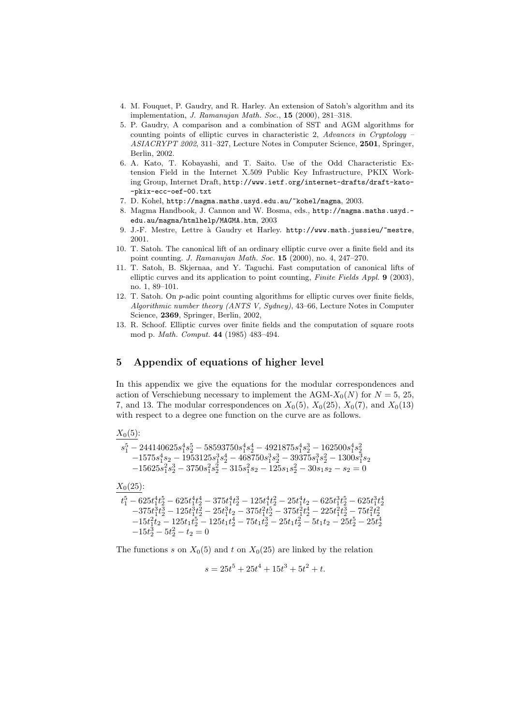- 4. M. Fouquet, P. Gaudry, and R. Harley. An extension of Satoh's algorithm and its implementation, J. Ramanujan Math. Soc., 15 (2000), 281–318.
- 5. P. Gaudry, A comparison and a combination of SST and AGM algorithms for counting points of elliptic curves in characteristic 2, Advances in Cryptology – ASIACRYPT 2002, 311–327, Lecture Notes in Computer Science, 2501, Springer, Berlin, 2002.
- 6. A. Kato, T. Kobayashi, and T. Saito. Use of the Odd Characteristic Extension Field in the Internet X.509 Public Key Infrastructure, PKIX Working Group, Internet Draft, http://www.ietf.org/internet-drafts/draft-kato- -pkix-ecc-oef-00.txt
- 7. D. Kohel, http://magma.maths.usyd.edu.au/~kohel/magma, 2003.
- 8. Magma Handbook, J. Cannon and W. Bosma, eds., http://magma.maths.usyd. edu.au/magma/htmlhelp/MAGMA.htm, 2003
- 9. J.-F. Mestre, Lettre `a Gaudry et Harley. http://www.math.jussieu/~mestre, 2001.
- 10. T. Satoh. The canonical lift of an ordinary elliptic curve over a finite field and its point counting. J. Ramanujan Math. Soc. 15 (2000), no. 4, 247–270.
- 11. T. Satoh, B. Skjernaa, and Y. Taguchi. Fast computation of canonical lifts of elliptic curves and its application to point counting, Finite Fields Appl. 9 (2003), no. 1, 89–101.
- 12. T. Satoh. On p-adic point counting algorithms for elliptic curves over finite fields, Algorithmic number theory (ANTS V, Sydney), 43–66, Lecture Notes in Computer Science, 2369, Springer, Berlin, 2002,
- 13. R. Schoof. Elliptic curves over finite fields and the computation of square roots mod p. Math. Comput. 44 (1985) 483–494.

# 5 Appendix of equations of higher level

In this appendix we give the equations for the modular correspondences and action of Verschiebung necessary to implement the AGM- $X_0(N)$  for  $N = 5, 25,$ 7, and 13. The modular correspondences on  $X_0(5)$ ,  $X_0(25)$ ,  $X_0(7)$ , and  $X_0(13)$ with respect to a degree one function on the curve are as follows.

$$
\begin{array}{l} \frac{X_{0}(5):}{s_{1}^{5}-244140625s_{1}^{4}s_{2}^{5}-58593750s_{1}^{4}s_{2}^{4}-4921875s_{1}^{4}s_{2}^{3}-162500s_{1}^{4}s_{2}^{2}}\\ \quad-1575s_{1}^{4}s_{2}-1953125s_{1}^{3}s_{2}^{4}-468750s_{1}^{3}s_{2}^{3}-39375s_{1}^{3}s_{2}^{2}-1300s_{1}^{3}s_{2}\\ \quad-15625s_{1}^{2}s_{2}^{3}-3750s_{1}^{2}s_{2}^{2}-315s_{1}^{2}s_{2}-125s_{1}s_{2}^{2}-30s_{1}s_{2}-s_{2}=0\\ \end{array}
$$

 $X_0(25)$ :

$$
\begin{array}{l} t_1^5-625 t_1^4 t_2^5-625 t_1^4 t_2^4-375 t_1^4 t_2^3-125 t_1^4 t_2^2-25 t_1^4 t_2-625 t_1^3 t_2^5-625 t_1^3 t_2^4\\ -375 t_1^3 t_2^3-125 t_1^3 t_2^2-25 t_1^3 t_2-375 t_1^2 t_2^5-375 t_1^2 t_2^4-225 t_1^2 t_2^3-75 t_1^2 t_2^2\\ -15 t_1^2 t_2-125 t_1 t_2^5-125 t_1 t_2^4-75 t_1 t_2^3-25 t_1 t_2^2-5 t_1 t_2-25 t_2^5-25 t_2^4\\ -15 t_2^3-5 t_2^2-t_2=0\end{array}
$$

The functions s on  $X_0(5)$  and t on  $X_0(25)$  are linked by the relation

$$
s = 25t^5 + 25t^4 + 15t^3 + 5t^2 + t.
$$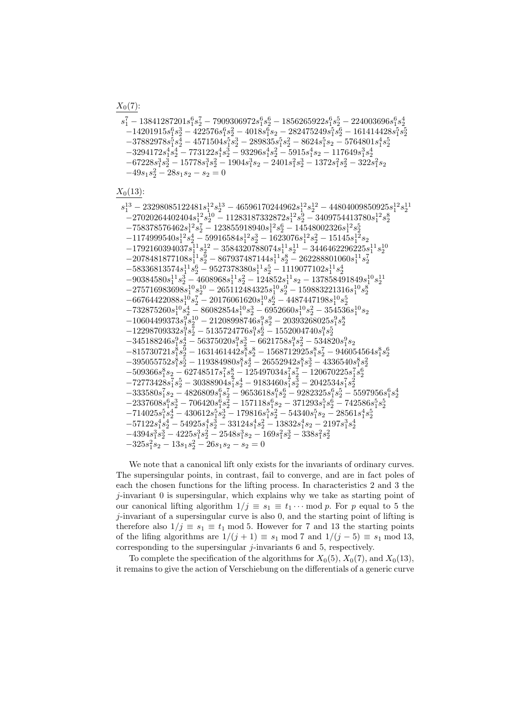$s_1^7 - 13841287201s_1^6s_2^7 - 7909306972s_1^6s_2^6 - 1856265922s_1^6s_2^5 - 224003696s_1^6s_2^4$  $-14201915s_1^6s_2^3 - 422576s_1^6s_2^2 - 4018s_1^6s_2 - 282475249s_1^5s_2^6 - 161414428s_1^5s_2^5\\$  $- 37882978 s_1^5 s_2^4 - 4571504 s_1^5 s_2^3 - 289835 s_1^5 s_2^2 - 8624 s_1^5 s_2 - 5764801 s_1^4 s_2^5\\$  $-3294172s_1^4s_2^4 - 773122s_1^4s_2^3 - 93296s_1^4s_2^2 - 5915s_1^4s_2 - 117649s_1^3s_2^4 \\$  $- 67228 s_1^3 s_2^3 - 15778 s_1^3 s_2^2 - 1904 s_1^3 s_2 - 2401 s_1^2 s_2^3 - 1372 s_1^2 s_2^2 - 322 s_1^2 s_2$  $-49s_1s_2^2 - 28s_1s_2 - s_2 = 0$ 

 $X_0(13)$ :

 $\begin{array}{l} s_1^{13}- 23298085122481 s_1^{12} s_2^{13}- 46596170244962 s_1^{12} s_2^{12}- 44804009850925 s_1^{12} s_2^{11} \\ -27020264402404 s_1^{12} s_2^{10}- 11283187332872 s_1^{12} s_2^{9}- 3409754413780 s_1^{12} s_2^{8} \end{array}$  $-758378576462s_1^{12}s_2^7-123855918940s_1^{12}s_2^6-14548002326s_1^{12}s_2^5\\$  $-1174999540 s_1^{{12}} s_2^{{4}}-59916584 s_1^{{12}} s_2^{{3}}-1623076 s_1^{{12}} s_2^{{2}}-15145 s_1^{{12}} s_2$  $-1792160394037s_{1}^{11}s_{2}^{12} - 3584320788074s_{1}^{11}s_{2}^{11} - 3446462296225s_{1}^{11}s_{2}^{10} \\$  $-2078481877108 s_1^{11} s_2^9 - 867937487144 s_1^{11} s_2^8 - 262288801060 s_1^{11} s_2^7\\$  $-58336813574s<sub>1</sub><sup>1</sup>s<sub>2</sub><sup>6</sup> - 9527378380s<sub>1</sub><sup>1</sup>s<sub>2</sub><sup>5</sup> - 1119077102s<sub>1</sub><sup>1</sup>s<sub>2</sub><sup>4</sup>$  $-90384580 s_1^{11} s_2^3 - 4608968 s_1^{11} s_2^2 - 124852 s_1^{11} s_2 - 137858491849 s_1^{10} s_2^{11} \\$  $\begin{array}{l} -275716983698 s_1^{10} s_2^{10} -265112484325 s_1^{10} s_2^9 -159883221316 s_1^{10} s_2^8\\ -66764422088 s_1^{10} s_2^7 -20176061620 s_1^{10} s_2^6 -4487447198 s_1^{10} s_2^5 \end{array}$  $-732875260 s_1^{10} s_2^4 - 86082854 s_1^{10} s_2^3 - 6952660 s_1^{10} s_2^2 - 354536 s_1^{10} s_2 \\$  $\begin{array}{l} -10604499373 s_1^9 s_2^{10} - 21208998746 s_1^9 s_2^9 - 20393268025 s_1^9 s_2^8 \\ -12298709332 s_1^9 s_2^7 - 5135724776 s_1^9 s_2^6 - 1552004740 s_1^9 s_2^5 \\ -345188246 s_1^9 s_2^4 - 56375020 s_1^9 s_2^3 - 6621758 s_1^9 s_2^2 - 534820 s_1^9 s_2$  $-815730721s_1^8s_2^9 - 1631461442s_1^8s_2^8 - 1568712925s_1^8s_2^7 - 946054564s_1^8s_2^6\\$  $-395055752s_1^8s_2^5 - 119384980s_1^8s_2^4 - 26552942s_1^8s_2^3 - 4336540s_1^8s_2^2 \nonumber$  $-509366s_1^8s_2 - 62748517s_1^7s_2^8 - 125497034s_1^7s_2^7 - 120670225s_1^7s_2^6$  $-72773428 s_1^7 s_2^5 - 30388904 s_1^7 s_2^4 - 9183460 s_1^7 s_2^3 - 2042534 s_1^7 s_2^2 \label{eq:10}$  $\label{eq:335580s} - 333580 s_1^7 s_2 - 4826809 s_1^6 s_2^7 - 9653618 s_1^6 s_2^6 - 9282325 s_1^6 s_2^5 - 5597956 s_1^6 s_2^4$  $- 2337608 s_1^6 s_2^3 - 706420 s_1^6 s_2^2 - 157118 s_1^6 s_2 - 371293 s_1^5 s_2^6 - 742586 s_1^5 s_2^5\\$  $-714025s_{1}^{5}s_{2}^{4}-430612s_{1}^{5}s_{2}^{3}-179816s_{1}^{5}s_{2}^{2}-54340s_{1}^{5}s_{2}-28561s_{1}^{4}s_{2}^{5} \\$  $-57122s_1^4s_2^4 - 54925s_1^4s_2^3 - 33124s_1^4s_2^2 - 13832s_1^4s_2 - 2197s_1^3s_2^4$  $-4394s_1^3s_2^3 - 4225s_1^3s_2^2 - 2548s_1^3s_2 - 169s_1^2s_2^3 - 338s_1^2s_2^2$  $-325s_1^2s_2 - 13s_1s_2^2 - 26s_1s_2 - s_2 = 0$ 

We note that a canonical lift only exists for the invariants of ordinary curves. The supersingular points, in contrast, fail to converge, and are in fact poles of each the chosen functions for the lifting process. In characteristics 2 and 3 the  $j$ -invariant  $\theta$  is supersingular, which explains why we take as starting point of our canonical lifting algorithm  $1/j \equiv s_1 \equiv t_1 \cdots \mod p$ . For p equal to 5 the j-invariant of a supersingular curve is also 0, and the starting point of lifting is therefore also  $1/j \equiv s_1 \equiv t_1 \mod 5$ . However for 7 and 13 the starting points of the lifing algorithms are  $1/(j + 1) \equiv s_1 \mod 7$  and  $1/(j - 5) \equiv s_1 \mod 13$ , corresponding to the supersingular  $j$ -invariants 6 and 5, respectively.

To complete the specification of the algorithms for  $X_0(5)$ ,  $X_0(7)$ , and  $X_0(13)$ , it remains to give the action of Verschiebung on the differentials of a generic curve

 $X_0(7)$ :